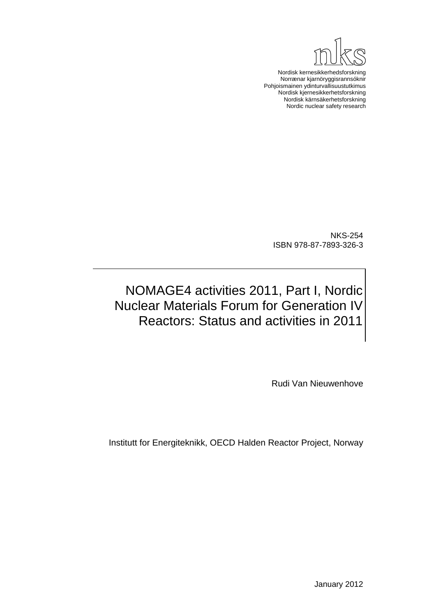

Nordisk kernesikkerhedsforskning Norrænar kjarnöryggisrannsóknir Pohjoismainen ydinturvallisuustutkimus Nordisk kjernesikkerhetsforskning Nordisk kärnsäkerhetsforskning Nordic nuclear safety research

NKS-254 ISBN 978-87-7893-326-3

# NOMAGE4 activities 2011, Part I, Nordic Nuclear Materials Forum for Generation IV Reactors: Status and activities in 2011

Rudi Van Nieuwenhove

Institutt for Energiteknikk, OECD Halden Reactor Project, Norway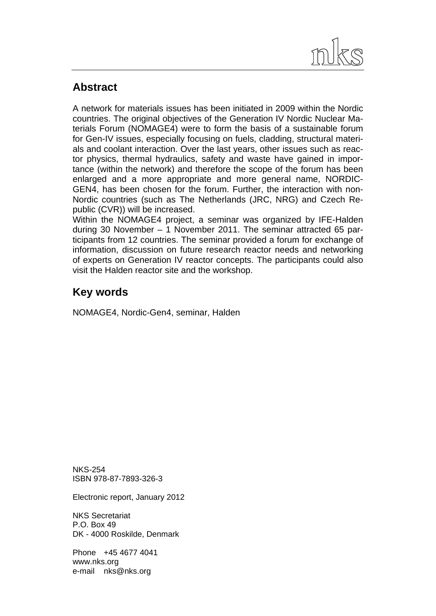

# **Abstract**

A network for materials issues has been initiated in 2009 within the Nordic countries. The original objectives of the Generation IV Nordic Nuclear Materials Forum (NOMAGE4) were to form the basis of a sustainable forum for Gen-IV issues, especially focusing on fuels, cladding, structural materials and coolant interaction. Over the last years, other issues such as reactor physics, thermal hydraulics, safety and waste have gained in importance (within the network) and therefore the scope of the forum has been enlarged and a more appropriate and more general name, NORDIC-GEN4, has been chosen for the forum. Further, the interaction with non-Nordic countries (such as The Netherlands (JRC, NRG) and Czech Republic (CVR)) will be increased.

Within the NOMAGE4 project, a seminar was organized by IFE-Halden during 30 November – 1 November 2011. The seminar attracted 65 participants from 12 countries. The seminar provided a forum for exchange of information, discussion on future research reactor needs and networking of experts on Generation IV reactor concepts. The participants could also visit the Halden reactor site and the workshop.

# **Key words**

NOMAGE4, Nordic-Gen4, seminar, Halden

NKS-254 ISBN 978-87-7893-326-3

Electronic report, January 2012

NKS Secretariat P.O. Box 49 DK - 4000 Roskilde, Denmark

Phone +45 4677 4041 www.nks.org e-mail nks@nks.org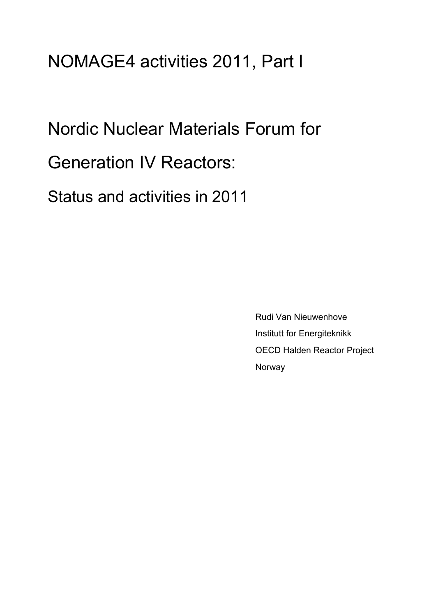# NOMAGE4 activities 2011, Part I

Nordic Nuclear Materials Forum for

Generation IV Reactors:

Status and activities in 2011

 Rudi Van Nieuwenhove Institutt for Energiteknikk OECD Halden Reactor Project Norway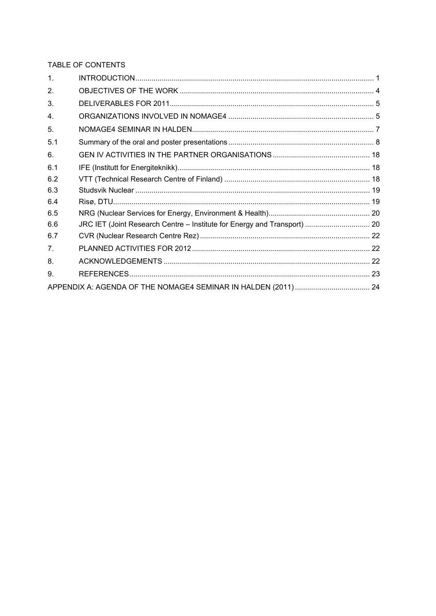TABLE OF CONTENTS

| $\mathbf{1}$ . |  |
|----------------|--|
| 2 <sub>1</sub> |  |
| 3.             |  |
| 4.             |  |
| 5.             |  |
| 5.1            |  |
| 6.             |  |
| 6.1            |  |
| 6.2            |  |
| 6.3            |  |
| 6.4            |  |
| 6.5            |  |
| 6.6            |  |
| 6.7            |  |
| 7 <sub>1</sub> |  |
| 8.             |  |
| 9.             |  |
|                |  |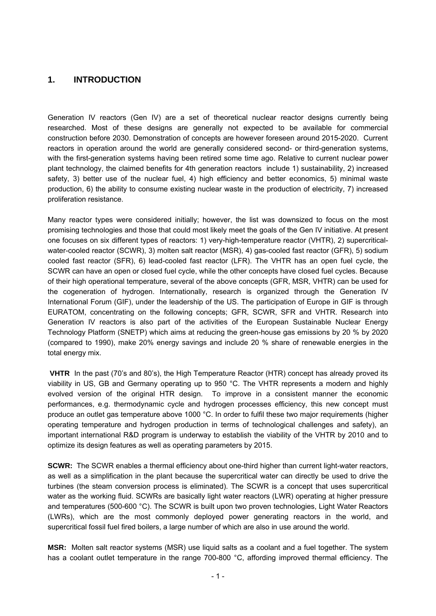## <span id="page-4-0"></span>**1. INTRODUCTION**

Generation IV reactors (Gen IV) are a set of theoretical nuclear reactor designs currently being researched. Most of these designs are generally not expected to be available for commercial construction before 2030. Demonstration of concepts are however foreseen around 2015-2020. Current reactors in operation around the world are generally considered second- or third-generation systems, with the first-generation systems having been retired some time ago. Relative to current nuclear power plant technology, the claimed benefits for 4th generation reactors include 1) sustainability, 2) increased safety, 3) better use of the nuclear fuel, 4) high efficiency and better economics, 5) minimal waste production, 6) the ability to consume existing nuclear waste in the production of electricity, 7) increased proliferation resistance.

Many reactor types were considered initially; however, the list was downsized to focus on the most promising technologies and those that could most likely meet the goals of the Gen IV initiative. At present one focuses on six different types of reactors: 1) very-high-temperature reactor (VHTR), 2) supercriticalwater-cooled reactor (SCWR), 3) molten salt reactor (MSR), 4) gas-cooled fast reactor (GFR), 5) sodium cooled fast reactor (SFR), 6) lead-cooled fast reactor (LFR). The VHTR has an open fuel cycle, the SCWR can have an open or closed fuel cycle, while the other concepts have closed fuel cycles. Because of their high operational temperature, several of the above concepts (GFR, MSR, VHTR) can be used for the cogeneration of hydrogen. Internationally, research is organized through the Generation IV International Forum (GIF), under the leadership of the US. The participation of Europe in GIF is through EURATOM, concentrating on the following concepts; GFR, SCWR, SFR and VHTR. Research into Generation IV reactors is also part of the activities of the European Sustainable Nuclear Energy Technology Platform (SNETP) which aims at reducing the green-house gas emissions by 20 % by 2020 (compared to 1990), make 20% energy savings and include 20 % share of renewable energies in the total energy mix.

 **VHTR** In the past (70's and 80's), the High Temperature Reactor (HTR) concept has already proved its viability in US, GB and Germany operating up to 950 °C. The VHTR represents a modern and highly evolved version of the original HTR design. To improve in a consistent manner the economic performances, e.g. thermodynamic cycle and hydrogen processes efficiency, this new concept must produce an outlet gas temperature above 1000 °C. In order to fulfil these two major requirements (higher operating temperature and hydrogen production in terms of technological challenges and safety), an important international R&D program is underway to establish the viability of the VHTR by 2010 and to optimize its design features as well as operating parameters by 2015.

**SCWR:** The SCWR enables a thermal efficiency about one-third higher than current light-water reactors, as well as a simplification in the plant because the supercritical water can directly be used to drive the turbines (the steam conversion process is eliminated). The SCWR is a concept that uses supercritical water as the working fluid. SCWRs are basically light water reactors (LWR) operating at higher pressure and temperatures (500-600 °C). The SCWR is built upon two proven technologies, Light Water Reactors (LWRs), which are the most commonly deployed power generating reactors in the world, and supercritical fossil fuel fired boilers, a large number of which are also in use around the world.

**MSR:** Molten salt reactor systems (MSR) use liquid salts as a coolant and a fuel together. The system has a coolant outlet temperature in the range 700-800 °C, affording improved thermal efficiency. The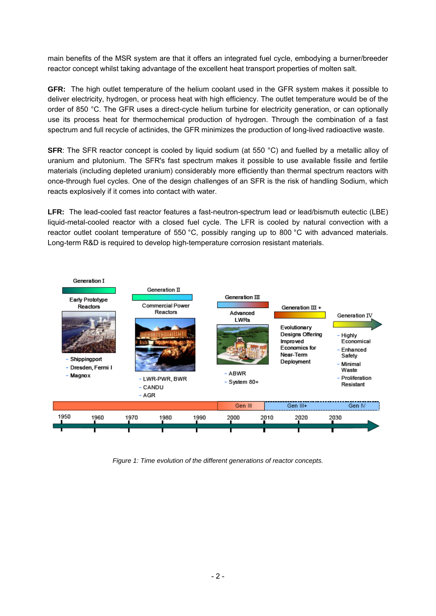main benefits of the MSR system are that it offers an integrated fuel cycle, embodying a burner/breeder reactor concept whilst taking advantage of the excellent heat transport properties of molten salt.

**GFR:** The high outlet temperature of the helium coolant used in the GFR system makes it possible to deliver electricity, hydrogen, or process heat with high efficiency. The outlet temperature would be of the order of 850 °C. The GFR uses a direct-cycle helium turbine for electricity generation, or can optionally use its process heat for thermochemical production of hydrogen. Through the combination of a fast spectrum and full recycle of actinides, the GFR minimizes the production of long-lived radioactive waste.

**SFR:** The SFR reactor concept is cooled by liquid sodium (at 550 °C) and fuelled by a metallic alloy of uranium and plutonium. The SFR's fast spectrum makes it possible to use available fissile and fertile materials (including depleted uranium) considerably more efficiently than thermal spectrum reactors with once-through fuel cycles. One of the design challenges of an SFR is the risk of handling Sodium, which reacts explosively if it comes into contact with water.

LFR: The lead-cooled fast reactor features a fast-neutron-spectrum lead or [lead/](http://en.wikipedia.org/wiki/Lead)bismuth [eutectic](http://en.wikipedia.org/wiki/Eutectic) ([LBE\)](http://en.wikipedia.org/wiki/Lead-bismuth_eutectic) liquid-metal-cooled reactor with a closed fuel cycle. The LFR is cooled by natural convection with a reactor outlet coolant temperature of 550 °C, possibly ranging up to 800 °C with advanced materials. Long-term R&D is required to develop high-temperature corrosion resistant materials.



*Figure 1: Time evolution of the different generations of reactor concepts.*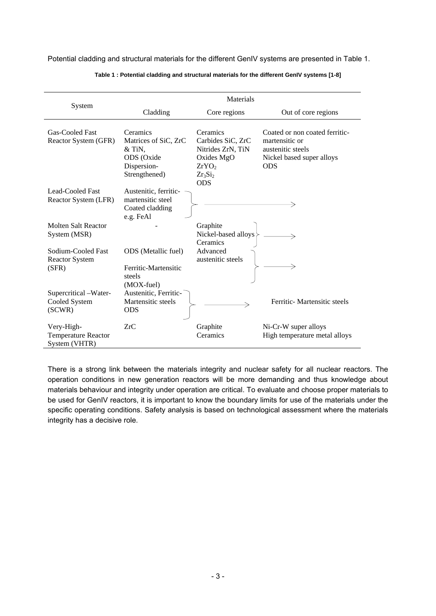Potential cladding and structural materials for the different GenIV systems are presented in [Table 1.](#page-6-0)

<span id="page-6-0"></span>

|                                                           | Materials                                                                  |                                               |                                                       |  |
|-----------------------------------------------------------|----------------------------------------------------------------------------|-----------------------------------------------|-------------------------------------------------------|--|
| System                                                    | Cladding                                                                   | Core regions                                  | Out of core regions                                   |  |
| Gas-Cooled Fast<br>Reactor System (GFR)                   | Ceramics<br>Matrices of SiC, ZrC                                           | Ceramics<br>Carbides SiC, ZrC                 | Coated or non coated ferritic-<br>martensitic or      |  |
|                                                           | $&$ TiN,<br>ODS (Oxide                                                     | Nitrides ZrN, TiN<br>Oxides MgO               | austenitic steels<br>Nickel based super alloys        |  |
|                                                           | Dispersion-<br>Strengthened)                                               | ZrYO <sub>2</sub><br>$Zr_3Si_2$<br><b>ODS</b> | <b>ODS</b>                                            |  |
| Lead-Cooled Fast<br>Reactor System (LFR)                  | Austenitic, ferritic-<br>martensitic steel<br>Coated cladding<br>e.g. FeAl |                                               |                                                       |  |
| <b>Molten Salt Reactor</b><br>System (MSR)                |                                                                            | Graphite<br>Nickel-based alloys<br>Ceramics   |                                                       |  |
| Sodium-Cooled Fast<br><b>Reactor System</b><br>(SFR)      | ODS (Metallic fuel)<br>Ferritic-Martensitic<br>steels                      | Advanced<br>austenitic steels                 |                                                       |  |
| Supercritical -Water-<br>Cooled System<br>(SCWR)          | (MOX-fuel)<br>Austenitic, Ferritic-<br>Martensitic steels<br><b>ODS</b>    |                                               | Ferritic- Martensitic steels                          |  |
| Very-High-<br><b>Temperature Reactor</b><br>System (VHTR) | ZrC                                                                        | Graphite<br>Ceramics                          | Ni-Cr-W super alloys<br>High temperature metal alloys |  |

**Table 1 : Potential cladding and structural materials for the different GenIV systems [1-8]** 

There is a strong link between the materials integrity and nuclear safety for all nuclear reactors. The operation conditions in new generation reactors will be more demanding and thus knowledge about materials behaviour and integrity under operation are critical. To evaluate and choose proper materials to be used for GenIV reactors, it is important to know the boundary limits for use of the materials under the specific operating conditions. Safety analysis is based on technological assessment where the materials integrity has a decisive role.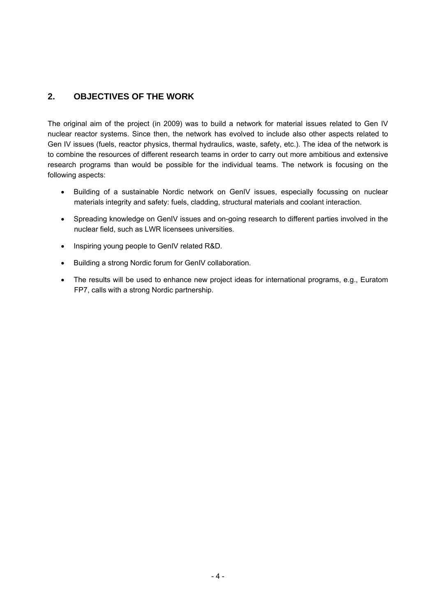# <span id="page-7-0"></span>**2. OBJECTIVES OF THE WORK**

The original aim of the project (in 2009) was to build a network for material issues related to Gen IV nuclear reactor systems. Since then, the network has evolved to include also other aspects related to Gen IV issues (fuels, reactor physics, thermal hydraulics, waste, safety, etc.). The idea of the network is to combine the resources of different research teams in order to carry out more ambitious and extensive research programs than would be possible for the individual teams. The network is focusing on the following aspects:

- Building of a sustainable Nordic network on GenIV issues, especially focussing on nuclear materials integrity and safety: fuels, cladding, structural materials and coolant interaction.
- Spreading knowledge on GenIV issues and on-going research to different parties involved in the nuclear field, such as LWR licensees universities.
- Inspiring young people to GenIV related R&D.
- Building a strong Nordic forum for GenIV collaboration.
- The results will be used to enhance new project ideas for international programs, e.g., Euratom FP7, calls with a strong Nordic partnership.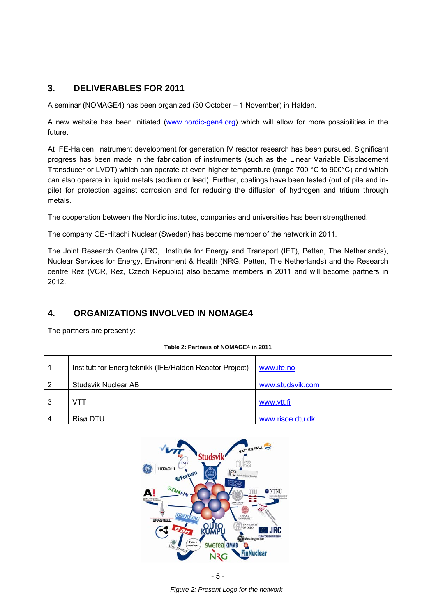# <span id="page-8-0"></span>**3. DELIVERABLES FOR 2011**

A seminar (NOMAGE4) has been organized (30 October – 1 November) in Halden.

A new website has been initiated [\(www.nordic-gen4.org\)](http://www.nordic-gen4.org/) which will allow for more possibilities in the future.

At IFE-Halden, instrument development for generation IV reactor research has been pursued. Significant progress has been made in the fabrication of instruments (such as the Linear Variable Displacement Transducer or LVDT) which can operate at even higher temperature (range 700 °C to 900°C) and which can also operate in liquid metals (sodium or lead). Further, coatings have been tested (out of pile and inpile) for protection against corrosion and for reducing the diffusion of hydrogen and tritium through metals.

The cooperation between the Nordic institutes, companies and universities has been strengthened.

The company GE-Hitachi Nuclear (Sweden) has become member of the network in 2011.

The Joint Research Centre (JRC, Institute for Energy and Transport (IET), Petten, The Netherlands), Nuclear Services for Energy, Environment & Health (NRG, Petten, The Netherlands) and the Research centre Rez (VCR, Rez, Czech Republic) also became members in 2011 and will become partners in 2012.

# **4. ORGANIZATIONS INVOLVED IN NOMAGE4**

The partners are presently:

|   | Institutt for Energiteknikk (IFE/Halden Reactor Project) | www.ife.no       |
|---|----------------------------------------------------------|------------------|
| 2 | Studsvik Nuclear AB                                      | www.studsvik.com |
| 3 | VTT                                                      | www.vtt.fi       |
| 4 | Risø DTU                                                 | www.risoe.dtu.dk |



- 5 -

*Figure 2: Present Logo for the network*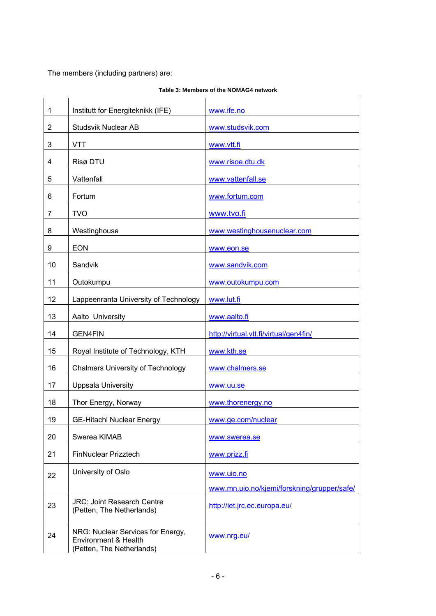The members (including partners) are:

| $\mathbf 1$    | Institutt for Energiteknikk (IFE)                                                      | www.ife.no                                  |
|----------------|----------------------------------------------------------------------------------------|---------------------------------------------|
| $\overline{2}$ | <b>Studsvik Nuclear AB</b>                                                             | www.studsvik.com                            |
| 3              | <b>VTT</b>                                                                             | www.vtt.fi                                  |
| 4              | Risø DTU                                                                               | www.risoe.dtu.dk                            |
| 5              | Vattenfall                                                                             | www.vattenfall.se                           |
| 6              | Fortum                                                                                 | www.fortum.com                              |
| 7              | <b>TVO</b>                                                                             | www.tvo.fi                                  |
| 8              | Westinghouse                                                                           | www.westinghousenuclear.com                 |
| 9              | <b>EON</b>                                                                             | www.eon.se                                  |
| 10             | Sandvik                                                                                | www.sandvik.com                             |
| 11             | Outokumpu                                                                              | www.outokumpu.com                           |
| 12             | Lappeenranta University of Technology                                                  | www.lut.fi                                  |
| 13             | Aalto University                                                                       | www.aalto.fi                                |
| 14             | <b>GEN4FIN</b>                                                                         | http://virtual.vtt.fi/virtual/gen4fin/      |
| 15             | Royal Institute of Technology, KTH                                                     | www.kth.se                                  |
| 16             | <b>Chalmers University of Technology</b>                                               | www.chalmers.se                             |
| 17             | <b>Uppsala University</b>                                                              | www.uu.se                                   |
| 18             | Thor Energy, Norway                                                                    | www.thorenergy.no                           |
| 19             | <b>GE-Hitachi Nuclear Energy</b>                                                       | www.ge.com/nuclear                          |
| 20             | Swerea KIMAB                                                                           | www.swerea.se                               |
| 21             | FinNuclear Prizztech                                                                   | www.prizz.fi                                |
| 22             | University of Oslo                                                                     | www.uio.no                                  |
|                |                                                                                        | www.mn.uio.no/kjemi/forskning/grupper/safe/ |
| 23             | <b>JRC: Joint Research Centre</b><br>(Petten, The Netherlands)                         | http://iet.jrc.ec.europa.eu/                |
| 24             | NRG: Nuclear Services for Energy,<br>Environment & Health<br>(Petten, The Netherlands) | www.nrg.eu/                                 |

#### **Table 3: Members of the NOMAG4 network**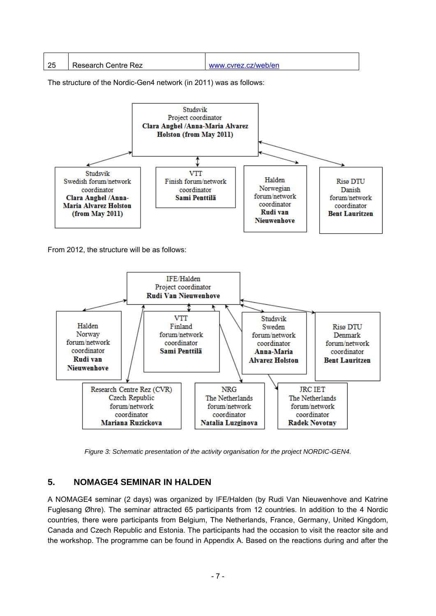<span id="page-10-0"></span>

| - 25 | l Research Centre Rez | www.cyrez.cz/web/en |
|------|-----------------------|---------------------|

The structure of the Nordic-Gen4 network (in 2011) was as follows:



From 2012, the structure will be as follows:



*Figure 3: Schematic presentation of the activity organisation for the project NORDIC-GEN4.* 

# **5. NOMAGE4 SEMINAR IN HALDEN**

A NOMAGE4 seminar (2 days) was organized by IFE/Halden (by Rudi Van Nieuwenhove and Katrine Fuglesang Øhre). The seminar attracted 65 participants from 12 countries. In addition to the 4 Nordic countries, there were participants from Belgium, The Netherlands, France, Germany, United Kingdom, Canada and Czech Republic and Estonia. The participants had the occasion to visit the reactor site and the workshop. The programme can be found in Appendix A. Based on the reactions during and after the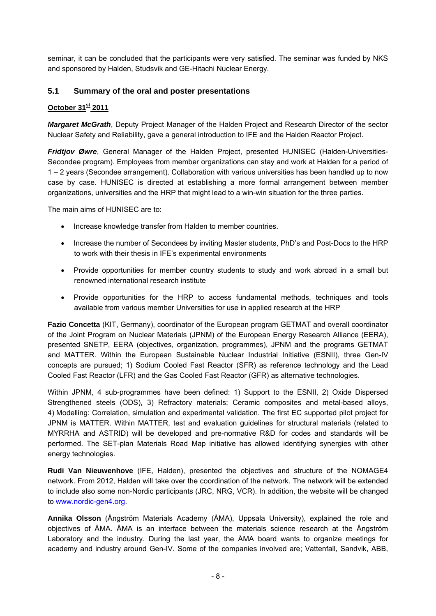<span id="page-11-0"></span>seminar, it can be concluded that the participants were very satisfied. The seminar was funded by NKS and sponsored by Halden, Studsvik and GE-Hitachi Nuclear Energy.

#### **5.1 Summary of the oral and poster presentations**

#### **October 31st 2011**

*Margaret McGrath*, Deputy Project Manager of the Halden Project and Research Director of the sector Nuclear Safety and Reliability, gave a general introduction to IFE and the Halden Reactor Project.

*Fridtjov Øwre*, General Manager of the Halden Project, presented HUNISEC (Halden-Universities-Secondee program). Employees from member organizations can stay and work at Halden for a period of 1 – 2 years (Secondee arrangement). Collaboration with various universities has been handled up to now case by case. HUNISEC is directed at establishing a more formal arrangement between member organizations, universities and the HRP that might lead to a win-win situation for the three parties.

The main aims of HUNISEC are to:

- Increase knowledge transfer from Halden to member countries.
- Increase the number of Secondees by inviting Master students, PhD's and Post-Docs to the HRP to work with their thesis in IFE's experimental environments
- Provide opportunities for member country students to study and work abroad in a small but renowned international research institute
- Provide opportunities for the HRP to access fundamental methods, techniques and tools available from various member Universities for use in applied research at the HRP

**Fazio Concetta** (KIT, Germany), coordinator of the European program GETMAT and overall coordinator of the Joint Program on Nuclear Materials (JPNM) of the European Energy Research Alliance (EERA), presented SNETP, EERA (objectives, organization, programmes), JPNM and the programs GETMAT and MATTER. Within the European Sustainable Nuclear Industrial Initiative (ESNII), three Gen-IV concepts are pursued; 1) Sodium Cooled Fast Reactor (SFR) as reference technology and the Lead Cooled Fast Reactor (LFR) and the Gas Cooled Fast Reactor (GFR) as alternative technologies.

Within JPNM, 4 sub-programmes have been defined: 1) Support to the ESNII, 2) Oxide Dispersed Strengthened steels (ODS), 3) Refractory materials; Ceramic composites and metal-based alloys, 4) Modelling: Correlation, simulation and experimental validation. The first EC supported pilot project for JPNM is MATTER. Within MATTER, test and evaluation guidelines for structural materials (related to MYRRHA and ASTRID) will be developed and pre-normative R&D for codes and standards will be performed. The SET-plan Materials Road Map initiative has allowed identifying synergies with other energy technologies.

**Rudi Van Nieuwenhove** (IFE, Halden), presented the objectives and structure of the NOMAGE4 network. From 2012, Halden will take over the coordination of the network. The network will be extended to include also some non-Nordic participants (JRC, NRG, VCR). In addition, the website will be changed to [www.nordic-gen4.org.](http://www.nordic-gen4.org/)

**Annika Olsson** (Ångström Materials Academy (ÅMA), Uppsala University), explained the role and objectives of ÅMA. ÅMA is an interface between the materials science research at the Ångström Laboratory and the industry. During the last year, the ÅMA board wants to organize meetings for academy and industry around Gen-IV. Some of the companies involved are; Vattenfall, Sandvik, ABB,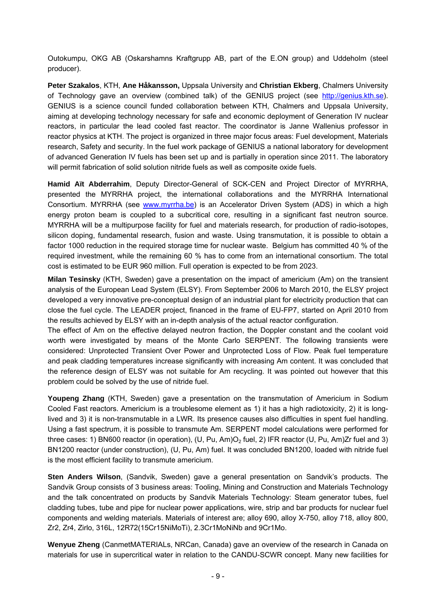Outokumpu, OKG AB (Oskarshamns Kraftgrupp AB, part of the E.ON group) and Uddeholm (steel producer).

**Peter Szakalos**, KTH, **Ane Håkansson,** Uppsala University and **Christian Ekberg**, Chalmers University of Technology gave an overview (combined talk) of the GENIUS project (see [http://genius.kth.se](http://genius.kth.se/)). GENIUS is a science council funded collaboration between KTH, Chalmers and Uppsala University, aiming at developing technology necessary for safe and economic deployment of Generation IV nuclear reactors, in particular the lead cooled fast reactor. The coordinator is Janne Wallenius professor in reactor physics at KTH. The project is organized in three major focus areas: Fuel development, Materials research, Safety and security. In the fuel work package of GENIUS a national laboratory for development of advanced Generation IV fuels has been set up and is partially in operation since 2011. The laboratory will permit fabrication of solid solution nitride fuels as well as composite oxide fuels.

**Hamid Aït Abderrahim**, Deputy Director-General of SCK-CEN and Project Director of MYRRHA, presented the MYRRHA project, the international collaborations and the MYRRHA International Consortium. MYRRHA (see [www.myrrha.be](http://www.myrrha.be/)) is an Accelerator Driven System (ADS) in which a high energy proton beam is coupled to a subcritical core, resulting in a significant fast neutron source. MYRRHA will be a multipurpose facility for fuel and materials research, for production of radio-isotopes, silicon doping, fundamental research, fusion and waste. Using transmutation, it is possible to obtain a factor 1000 reduction in the required storage time for nuclear waste. Belgium has committed 40 % of the required investment, while the remaining 60 % has to come from an international consortium. The total cost is estimated to be EUR 960 million. Full operation is expected to be from 2023.

**Milan Tesinsky** (KTH, Sweden) gave a presentation on the impact of americium (Am) on the transient analysis of the European Lead System (ELSY). From September 2006 to March 2010, the ELSY project developed a very innovative pre-conceptual design of an industrial plant for electricity production that can close the fuel cycle. The LEADER project, financed in the frame of EU-FP7, started on April 2010 from the results achieved by ELSY with an in-depth analysis of the actual reactor configuration.

The effect of Am on the effective delayed neutron fraction, the Doppler constant and the coolant void worth were investigated by means of the Monte Carlo SERPENT. The following transients were considered: Unprotected Transient Over Power and Unprotected Loss of Flow. Peak fuel temperature and peak cladding temperatures increase significantly with increasing Am content. It was concluded that the reference design of ELSY was not suitable for Am recycling. It was pointed out however that this problem could be solved by the use of nitride fuel.

**Youpeng Zhang** (KTH, Sweden) gave a presentation on the transmutation of Americium in Sodium Cooled Fast reactors. Americium is a troublesome element as 1) it has a high radiotoxicity, 2) it is longlived and 3) it is non-transmutable in a LWR. Its presence causes also difficulties in spent fuel handling. Using a fast spectrum, it is possible to transmute Am. SERPENT model calculations were performed for three cases: 1) BN600 reactor (in operation), (U, Pu, Am)O<sub>2</sub> fuel, 2) IFR reactor (U, Pu, Am)Zr fuel and 3) BN1200 reactor (under construction), (U, Pu, Am) fuel. It was concluded BN1200, loaded with nitride fuel is the most efficient facility to transmute americium.

**Sten Anders Wilson**, (Sandvik, Sweden) gave a general presentation on Sandvik's products. The Sandvik Group consists of 3 business areas: Tooling, Mining and Construction and Materials Technology and the talk concentrated on products by Sandvik Materials Technology: Steam generator tubes, fuel cladding tubes, tube and pipe for nuclear power applications, wire, strip and bar products for nuclear fuel components and welding materials. Materials of interest are; alloy 690, alloy X-750, alloy 718, alloy 800, Zr2, Zr4, Zirlo, 316L, 12R72(15Cr15NiMoTi), 2.3Cr1MoNiNb and 9Cr1Mo.

**Wenyue Zheng** (CanmetMATERIALs, NRCan, Canada) gave an overview of the research in Canada on materials for use in supercritical water in relation to the CANDU-SCWR concept. Many new facilities for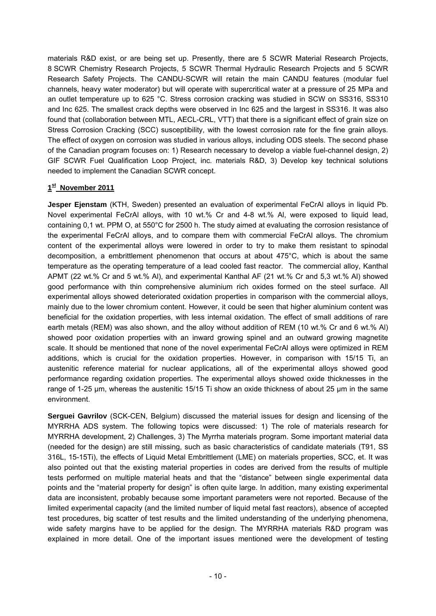materials R&D exist, or are being set up. Presently, there are 5 SCWR Material Research Projects, 8 SCWR Chemistry Research Projects, 5 SCWR Thermal Hydraulic Research Projects and 5 SCWR Research Safety Projects. The CANDU-SCWR will retain the main CANDU features (modular fuel channels, heavy water moderator) but will operate with supercritical water at a pressure of 25 MPa and an outlet temperature up to 625 °C. Stress corrosion cracking was studied in SCW on SS316, SS310 and Inc 625. The smallest crack depths were observed in Inc 625 and the largest in SS316. It was also found that (collaboration between MTL, AECL-CRL, VTT) that there is a significant effect of grain size on Stress Corrosion Cracking (SCC) susceptibility, with the lowest corrosion rate for the fine grain alloys. The effect of oxygen on corrosion was studied in various alloys, including ODS steels. The second phase of the Canadian program focuses on: 1) Research necessary to develop a viable fuel-channel design, 2) GIF SCWR Fuel Qualification Loop Project, inc. materials R&D, 3) Develop key technical solutions needed to implement the Canadian SCWR concept.

#### **1st November 2011**

**Jesper Ejenstam** (KTH, Sweden) presented an evaluation of experimental FeCrAl alloys in liquid Pb. Novel experimental FeCrAl alloys, with 10 wt.% Cr and 4-8 wt.% Al, were exposed to liquid lead, containing 0,1 wt. PPM O, at 550°C for 2500 h. The study aimed at evaluating the corrosion resistance of the experimental FeCrAl alloys, and to compare them with commercial FeCrAl alloys. The chromium content of the experimental alloys were lowered in order to try to make them resistant to spinodal decomposition, a embrittlement phenomenon that occurs at about 475°C, which is about the same temperature as the operating temperature of a lead cooled fast reactor. The commercial alloy, Kanthal APMT (22 wt.% Cr and 5 wt.% Al), and experimental Kanthal AF (21 wt.% Cr and 5,3 wt.% Al) showed good performance with thin comprehensive aluminium rich oxides formed on the steel surface. All experimental alloys showed deteriorated oxidation properties in comparison with the commercial alloys, mainly due to the lower chromium content. However, it could be seen that higher aluminium content was beneficial for the oxidation properties, with less internal oxidation. The effect of small additions of rare earth metals (REM) was also shown, and the alloy without addition of REM (10 wt.% Cr and 6 wt.% Al) showed poor oxidation properties with an inward growing spinel and an outward growing magnetite scale. It should be mentioned that none of the novel experimental FeCrAl alloys were optimized in REM additions, which is crucial for the oxidation properties. However, in comparison with 15/15 Ti, an austenitic reference material for nuclear applications, all of the experimental alloys showed good performance regarding oxidation properties. The experimental alloys showed oxide thicknesses in the range of 1-25 µm, whereas the austenitic 15/15 Ti show an oxide thickness of about 25 µm in the same environment.

**Serguei Gavrilov** (SCK-CEN, Belgium) discussed the material issues for design and licensing of the MYRRHA ADS system. The following topics were discussed: 1) The role of materials research for MYRRHA development, 2) Challenges, 3) The Myrrha materials program. Some important material data (needed for the design) are still missing, such as basic characteristics of candidate materials (T91, SS 316L, 15-15Ti), the effects of Liquid Metal Embrittlement (LME) on materials properties, SCC, et. It was also pointed out that the existing material properties in codes are derived from the results of multiple tests performed on multiple material heats and that the "distance" between single experimental data points and the "material property for design" is often quite large. In addition, many existing experimental data are inconsistent, probably because some important parameters were not reported. Because of the limited experimental capacity (and the limited number of liquid metal fast reactors), absence of accepted test procedures, big scatter of test results and the limited understanding of the underlying phenomena, wide safety margins have to be applied for the design. The MYRRHA materials R&D program was explained in more detail. One of the important issues mentioned were the development of testing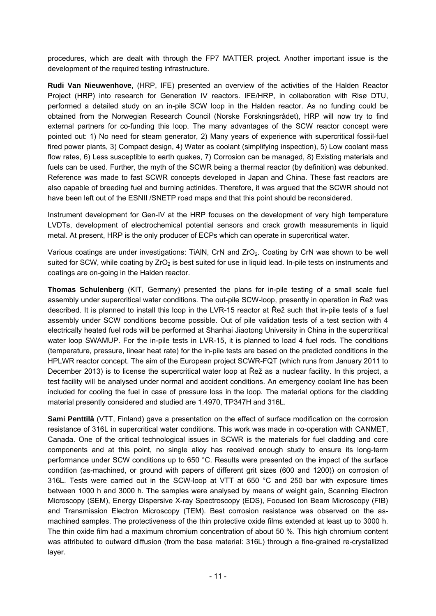procedures, which are dealt with through the FP7 MATTER project. Another important issue is the development of the required testing infrastructure.

**Rudi Van Nieuwenhove**, (HRP, IFE) presented an overview of the activities of the Halden Reactor Project (HRP) into research for Generation IV reactors. IFE/HRP, in collaboration with Risø DTU, performed a detailed study on an in-pile SCW loop in the Halden reactor. As no funding could be obtained from the Norwegian Research Council (Norske Forskningsrådet), HRP will now try to find external partners for co-funding this loop. The many advantages of the SCW reactor concept were pointed out: 1) No need for steam generator, 2) Many years of experience with supercritical fossil-fuel fired power plants, 3) Compact design, 4) Water as coolant (simplifying inspection), 5) Low coolant mass flow rates, 6) Less susceptible to earth quakes, 7) Corrosion can be managed, 8) Existing materials and fuels can be used. Further, the myth of the SCWR being a thermal reactor (by definition) was debunked. Reference was made to fast SCWR concepts developed in Japan and China. These fast reactors are also capable of breeding fuel and burning actinides. Therefore, it was argued that the SCWR should not have been left out of the ESNII /SNETP road maps and that this point should be reconsidered.

Instrument development for Gen-IV at the HRP focuses on the development of very high temperature LVDTs, development of electrochemical potential sensors and crack growth measurements in liquid metal. At present, HRP is the only producer of ECPs which can operate in supercritical water.

Various coatings are under investigations: TiAIN, CrN and ZrO<sub>2</sub>. Coating by CrN was shown to be well suited for SCW, while coating by ZrO<sub>2</sub> is best suited for use in liquid lead. In-pile tests on instruments and coatings are on-going in the Halden reactor.

**Thomas Schulenberg** (KIT, Germany) presented the plans for in-pile testing of a small scale fuel assembly under supercritical water conditions. The out-pile SCW-loop, presently in operation in Řež was described. It is planned to install this loop in the LVR-15 reactor at Řež such that in-pile tests of a fuel assembly under SCW conditions become possible. Out of pile validation tests of a test section with 4 electrically heated fuel rods will be performed at Shanhai Jiaotong University in China in the supercritical water loop SWAMUP. For the in-pile tests in LVR-15, it is planned to load 4 fuel rods. The conditions (temperature, pressure, linear heat rate) for the in-pile tests are based on the predicted conditions in the HPLWR reactor concept. The aim of the European project SCWR-FQT (which runs from January 2011 to December 2013) is to license the supercritical water loop at Řež as a nuclear facility. In this project, a test facility will be analysed under normal and accident conditions. An emergency coolant line has been included for cooling the fuel in case of pressure loss in the loop. The material options for the cladding material presently considered and studied are 1.4970, TP347H and 316L.

**Sami Penttilâ** (VTT, Finland) gave a presentation on the effect of surface modification on the corrosion resistance of 316L in supercritical water conditions. This work was made in co-operation with CANMET, Canada. One of the critical technological issues in SCWR is the materials for fuel cladding and core components and at this point, no single alloy has received enough study to ensure its long-term performance under SCW conditions up to 650 °C. Results were presented on the impact of the surface condition (as-machined, or ground with papers of different grit sizes (600 and 1200)) on corrosion of 316L. Tests were carried out in the SCW-loop at VTT at 650 °C and 250 bar with exposure times between 1000 h and 3000 h. The samples were analysed by means of weight gain, Scanning Electron Microscopy (SEM), Energy Dispersive X-ray Spectroscopy (EDS), Focused Ion Beam Microscopy (FIB) and Transmission Electron Microscopy (TEM). Best corrosion resistance was observed on the asmachined samples. The protectiveness of the thin protective oxide films extended at least up to 3000 h. The thin oxide film had a maximum chromium concentration of about 50 %. This high chromium content was attributed to outward diffusion (from the base material: 316L) through a fine-grained re-crystallized layer.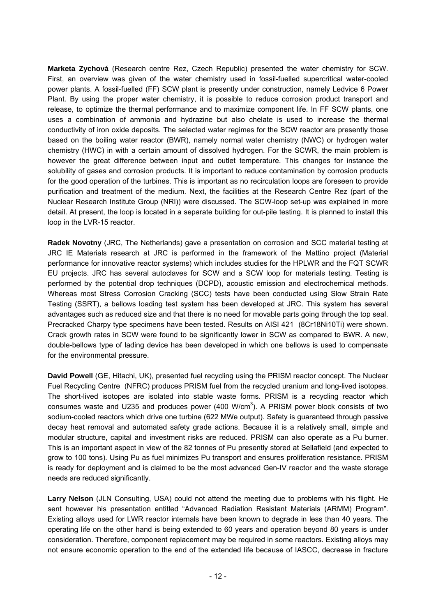**Marketa Zychová** (Research centre Rez, Czech Republic) presented the water chemistry for SCW. First, an overview was given of the water chemistry used in fossil-fuelled supercritical water-cooled power plants. A fossil-fuelled (FF) SCW plant is presently under construction, namely Ledvice 6 Power Plant. By using the proper water chemistry, it is possible to reduce corrosion product transport and release, to optimize the thermal performance and to maximize component life. In FF SCW plants, one uses a combination of ammonia and hydrazine but also chelate is used to increase the thermal conductivity of iron oxide deposits. The selected water regimes for the SCW reactor are presently those based on the boiling water reactor (BWR), namely normal water chemistry (NWC) or hydrogen water chemistry (HWC) in with a certain amount of dissolved hydrogen. For the SCWR, the main problem is however the great difference between input and outlet temperature. This changes for instance the solubility of gases and corrosion products. It is important to reduce contamination by corrosion products for the good operation of the turbines. This is important as no recirculation loops are foreseen to provide purification and treatment of the medium. Next, the facilities at the Research Centre Rez (part of the Nuclear Research Institute Group (NRI)) were discussed. The SCW-loop set-up was explained in more detail. At present, the loop is located in a separate building for out-pile testing. It is planned to install this loop in the LVR-15 reactor.

**Radek Novotny** (JRC, The Netherlands) gave a presentation on corrosion and SCC material testing at JRC IE Materials research at JRC is performed in the framework of the Mattino project (Material performance for innovative reactor systems) which includes studies for the HPLWR and the FQT SCWR EU projects. JRC has several autoclaves for SCW and a SCW loop for materials testing. Testing is performed by the potential drop techniques (DCPD), acoustic emission and electrochemical methods. Whereas most Stress Corrosion Cracking (SCC) tests have been conducted using Slow Strain Rate Testing (SSRT), a bellows loading test system has been developed at JRC. This system has several advantages such as reduced size and that there is no need for movable parts going through the top seal. Precracked Charpy type specimens have been tested. Results on AISI 421 (8Cr18Ni10Ti) were shown. Crack growth rates in SCW were found to be significantly lower in SCW as compared to BWR. A new, double-bellows type of lading device has been developed in which one bellows is used to compensate for the environmental pressure.

**David Powell** (GE, Hitachi, UK), presented fuel recycling using the PRISM reactor concept. The Nuclear Fuel Recycling Centre (NFRC) produces PRISM fuel from the recycled uranium and long-lived isotopes. The short-lived isotopes are isolated into stable waste forms. PRISM is a recycling reactor which consumes waste and U235 and produces power (400 W/cm<sup>3</sup>). A PRISM power block consists of two sodium-cooled reactors which drive one turbine (622 MWe output). Safety is guaranteed through passive decay heat removal and automated safety grade actions. Because it is a relatively small, simple and modular structure, capital and investment risks are reduced. PRISM can also operate as a Pu burner. This is an important aspect in view of the 82 tonnes of Pu presently stored at Sellafield (and expected to grow to 100 tons). Using Pu as fuel minimizes Pu transport and ensures proliferation resistance. PRISM is ready for deployment and is claimed to be the most advanced Gen-IV reactor and the waste storage needs are reduced significantly.

**Larry Nelson** (JLN Consulting, USA) could not attend the meeting due to problems with his flight. He sent however his presentation entitled "Advanced Radiation Resistant Materials (ARMM) Program". Existing alloys used for LWR reactor internals have been known to degrade in less than 40 years. The operating life on the other hand is being extended to 60 years and operation beyond 80 years is under consideration. Therefore, component replacement may be required in some reactors. Existing alloys may not ensure economic operation to the end of the extended life because of IASCC, decrease in fracture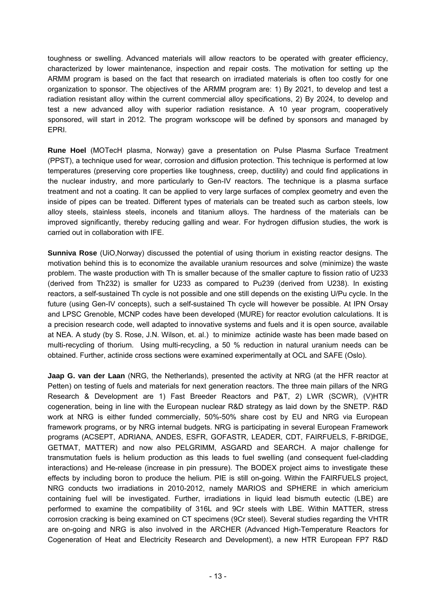toughness or swelling. Advanced materials will allow reactors to be operated with greater efficiency, characterized by lower maintenance, inspection and repair costs. The motivation for setting up the ARMM program is based on the fact that research on irradiated materials is often too costly for one organization to sponsor. The objectives of the ARMM program are: 1) By 2021, to develop and test a radiation resistant alloy within the current commercial alloy specifications, 2) By 2024, to develop and test a new advanced alloy with superior radiation resistance. A 10 year program, cooperatively sponsored, will start in 2012. The program workscope will be defined by sponsors and managed by EPRI.

**Rune Hoel** (MOTecH plasma, Norway) gave a presentation on Pulse Plasma Surface Treatment (PPST), a technique used for wear, corrosion and diffusion protection. This technique is performed at low temperatures (preserving core properties like toughness, creep, ductility) and could find applications in the nuclear industry, and more particularly to Gen-IV reactors. The technique is a plasma surface treatment and not a coating. It can be applied to very large surfaces of complex geometry and even the inside of pipes can be treated. Different types of materials can be treated such as carbon steels, low alloy steels, stainless steels, inconels and titanium alloys. The hardness of the materials can be improved significantly, thereby reducing galling and wear. For hydrogen diffusion studies, the work is carried out in collaboration with IFE.

**Sunniva Rose** (UiO,Norway) discussed the potential of using thorium in existing reactor designs. The motivation behind this is to economize the available uranium resources and solve (minimize) the waste problem. The waste production with Th is smaller because of the smaller capture to fission ratio of U233 (derived from Th232) is smaller for U233 as compared to Pu239 (derived from U238). In existing reactors, a self-sustained Th cycle is not possible and one still depends on the existing U/Pu cycle. In the future (using Gen-IV concepts), such a self-sustained Th cycle will however be possible. At IPN Orsay and LPSC Grenoble, MCNP codes have been developed (MURE) for reactor evolution calculations. It is a precision research code, well adapted to innovative systems and fuels and it is open source, available at NEA. A study (by S. Rose, J.N. Wilson, et. al.) to minimize actinide waste has been made based on multi-recycling of thorium. Using multi-recycling, a 50 % reduction in natural uranium needs can be obtained. Further, actinide cross sections were examined experimentally at OCL and SAFE (Oslo).

**Jaap G. van der Laan** (NRG, the Netherlands), presented the activity at NRG (at the HFR reactor at Petten) on testing of fuels and materials for next generation reactors. The three main pillars of the NRG Research & Development are 1) Fast Breeder Reactors and P&T, 2) LWR (SCWR), (V)HTR cogeneration, being in line with the European nuclear R&D strategy as laid down by the SNETP. R&D work at NRG is either funded commercially, 50%-50% share cost by EU and NRG via European framework programs, or by NRG internal budgets. NRG is participating in several European Framework programs (ACSEPT, ADRIANA, ANDES, ESFR, GOFASTR, LEADER, CDT, FAIRFUELS, F-BRIDGE, GETMAT, MATTER) and now also PELGRIMM, ASGARD and SEARCH. A major challenge for transmutation fuels is helium production as this leads to fuel swelling (and consequent fuel-cladding interactions) and He-release (increase in pin pressure). The BODEX project aims to investigate these effects by including boron to produce the helium. PIE is still on-going. Within the FAIRFUELS project, NRG conducts two irradiations in 2010-2012, namely MARIOS and SPHERE in which americium containing fuel will be investigated. Further, irradiations in liquid lead bismuth eutectic (LBE) are performed to examine the compatibility of 316L and 9Cr steels with LBE. Within MATTER, stress corrosion cracking is being examined on CT specimens (9Cr steel). Several studies regarding the VHTR are on-going and NRG is also involved in the ARCHER (Advanced High-Temperature Reactors for Cogeneration of Heat and Electricity Research and Development), a new HTR European FP7 R&D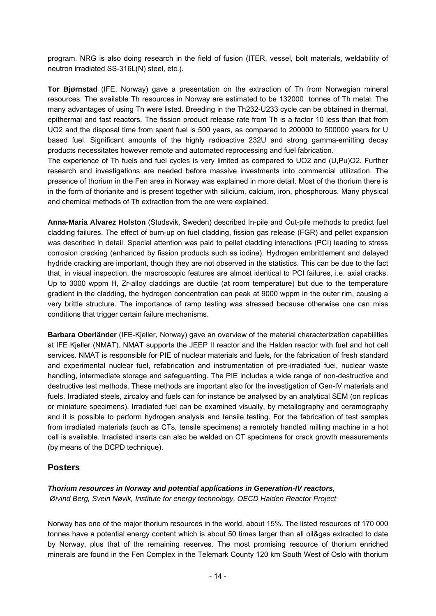program. NRG is also doing research in the field of fusion (ITER, vessel, bolt materials, weldability of neutron irradiated SS-316L(N) steel, etc.).

**Tor Bjørnstad** (IFE, Norway) gave a presentation on the extraction of Th from Norwegian mineral resources. The available Th resources in Norway are estimated to be 132000 tonnes of Th metal. The many advantages of using Th were listed. Breeding in the Th232-U233 cycle can be obtained in thermal, epithermal and fast reactors. The fission product release rate from Th is a factor 10 less than that from UO2 and the disposal time from spent fuel is 500 years, as compared to 200000 to 500000 years for U based fuel. Significant amounts of the highly radioactive 232U and strong gamma-emitting decay products necessitates however remote and automated reprocessing and fuel fabrication.

The experience of Th fuels and fuel cycles is very limited as compared to UO2 and (U,Pu)O2. Further research and investigations are needed before massive investments into commercial utilization. The presence of thorium in the Fen area in Norway was explained in more detail. Most of the thorium there is in the form of thorianite and is present together with silicium, calcium, iron, phosphorous. Many physical and chemical methods of Th extraction from the ore were explained.

**Anna-Maria Alvarez Holston** (Studsvik, Sweden) described In-pile and Out-pile methods to predict fuel cladding failures. The effect of burn-up on fuel cladding, fission gas release (FGR) and pellet expansion was described in detail. Special attention was paid to pellet cladding interactions (PCI) leading to stress corrosion cracking (enhanced by fission products such as iodine). Hydrogen embrittlement and delayed hydride cracking are important, though they are not observed in the statistics. This can be due to the fact that, in visual inspection, the macroscopic features are almost identical to PCI failures, i.e. axial cracks. Up to 3000 wppm H, Zr-alloy claddings are ductile (at room temperature) but due to the temperature gradient in the cladding, the hydrogen concentration can peak at 9000 wppm in the outer rim, causing a very brittle structure. The importance of ramp testing was stressed because otherwise one can miss conditions that trigger certain failure mechanisms.

**Barbara Oberländer** (IFE-Kjeller, Norway) gave an overview of the material characterization capabilities at IFE Kjeller (NMAT). NMAT supports the JEEP II reactor and the Halden reactor with fuel and hot cell services. NMAT is responsible for PIE of nuclear materials and fuels, for the fabrication of fresh standard and experimental nuclear fuel, refabrication and instrumentation of pre-irradiated fuel, nuclear waste handling, intermediate storage and safeguarding. The PIE includes a wide range of non-destructive and destructive test methods. These methods are important also for the investigation of Gen-IV materials and fuels. Irradiated steels, zircaloy and fuels can for instance be analysed by an analytical SEM (on replicas or miniature specimens). Irradiated fuel can be examined visually, by metallography and ceramography and it is possible to perform hydrogen analysis and tensile testing. For the fabrication of test samples from irradiated materials (such as CTs, tensile specimens) a remotely handled milling machine in a hot cell is available. Irradiated inserts can also be welded on CT specimens for crack growth measurements (by means of the DCPD technique).

#### **Posters**

#### *Thorium resources in Norway and potential applications in Generation-IV reactors,*

 *Øivind Berg, Svein Nøvik, Institute for energy technology, OECD Halden Reactor Project* 

Norway has one of the major thorium resources in the world, about 15%. The listed resources of 170 000 tonnes have a potential energy content which is about 50 times larger than all oil&gas extracted to date by Norway, plus that of the remaining reserves. The most promising resource of thorium enriched minerals are found in the Fen Complex in the Telemark County 120 km South West of Oslo with thorium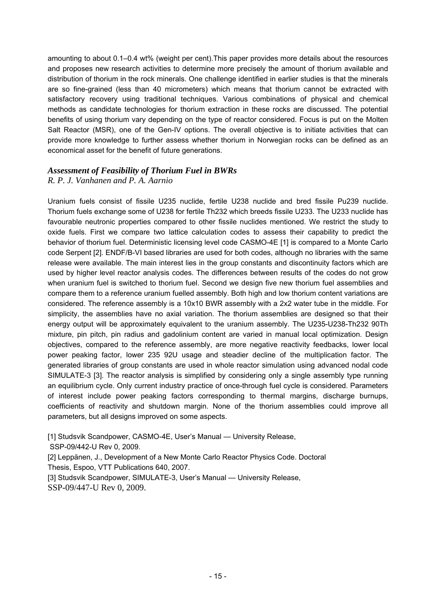amounting to about 0.1–0.4 wt% (weight per cent).This paper provides more details about the resources and proposes new research activities to determine more precisely the amount of thorium available and distribution of thorium in the rock minerals. One challenge identified in earlier studies is that the minerals are so fine-grained (less than 40 micrometers) which means that thorium cannot be extracted with satisfactory recovery using traditional techniques. Various combinations of physical and chemical methods as candidate technologies for thorium extraction in these rocks are discussed. The potential benefits of using thorium vary depending on the type of reactor considered. Focus is put on the Molten Salt Reactor (MSR), one of the Gen-IV options. The overall objective is to initiate activities that can provide more knowledge to further assess whether thorium in Norwegian rocks can be defined as an economical asset for the benefit of future generations.

#### *Assessment of Feasibility of Thorium Fuel in BWRs R. P. J. Vanhanen and P. A. Aarnio*

Uranium fuels consist of fissile U235 nuclide, fertile U238 nuclide and bred fissile Pu239 nuclide. Thorium fuels exchange some of U238 for fertile Th232 which breeds fissile U233. The U233 nuclide has favourable neutronic properties compared to other fissile nuclides mentioned. We restrict the study to oxide fuels. First we compare two lattice calculation codes to assess their capability to predict the behavior of thorium fuel. Deterministic licensing level code CASMO-4E [1] is compared to a Monte Carlo code Serpent [2]. ENDF/B-VI based libraries are used for both codes, although no libraries with the same release were available. The main interest lies in the group constants and discontinuity factors which are used by higher level reactor analysis codes. The differences between results of the codes do not grow when uranium fuel is switched to thorium fuel. Second we design five new thorium fuel assemblies and compare them to a reference uranium fuelled assembly. Both high and low thorium content variations are considered. The reference assembly is a 10x10 BWR assembly with a 2x2 water tube in the middle. For simplicity, the assemblies have no axial variation. The thorium assemblies are designed so that their energy output will be approximately equivalent to the uranium assembly. The U235-U238-Th232 90Th mixture, pin pitch, pin radius and gadolinium content are varied in manual local optimization. Design objectives, compared to the reference assembly, are more negative reactivity feedbacks, lower local power peaking factor, lower 235 92U usage and steadier decline of the multiplication factor. The generated libraries of group constants are used in whole reactor simulation using advanced nodal code SIMULATE-3 [3]. The reactor analysis is simplified by considering only a single assembly type running an equilibrium cycle. Only current industry practice of once-through fuel cycle is considered. Parameters of interest include power peaking factors corresponding to thermal margins, discharge burnups, coefficients of reactivity and shutdown margin. None of the thorium assemblies could improve all parameters, but all designs improved on some aspects.

[1] Studsvik Scandpower, CASMO-4E, User's Manual - University Release,

SSP-09/442-U Rev 0, 2009.

[2] Leppänen, J., Development of a New Monte Carlo Reactor Physics Code. Doctoral Thesis, Espoo, VTT Publications 640, 2007.

[3] Studsvik Scandpower, SIMULATE-3, User's Manual — University Release, SSP-09/447-U Rev 0, 2009.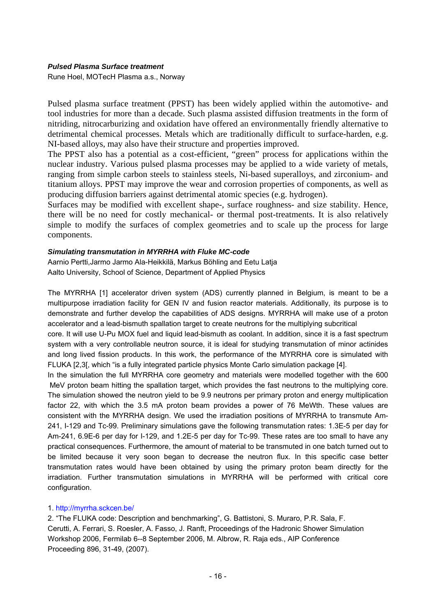#### *Pulsed Plasma Surface treatment*

Rune Hoel, MOTecH Plasma a.s., Norway

Pulsed plasma surface treatment (PPST) has been widely applied within the automotive- and tool industries for more than a decade. Such plasma assisted diffusion treatments in the form of nitriding, nitrocarburizing and oxidation have offered an environmentally friendly alternative to detrimental chemical processes. Metals which are traditionally difficult to surface-harden, e.g. NI-based alloys, may also have their structure and properties improved.

The PPST also has a potential as a cost-efficient, "green" process for applications within the nuclear industry. Various pulsed plasma processes may be applied to a wide variety of metals, ranging from simple carbon steels to stainless steels, Ni-based superalloys, and zirconium- and titanium alloys. PPST may improve the wear and corrosion properties of components, as well as producing diffusion barriers against detrimental atomic species (e.g. hydrogen).

Surfaces may be modified with excellent shape-, surface roughness- and size stability. Hence, there will be no need for costly mechanical- or thermal post-treatments. It is also relatively simple to modify the surfaces of complex geometries and to scale up the process for large components.

#### *Simulating transmutation in MYRRHA with Fluke MC-code*

Aarnio Pertti,Jarmo Jarmo Ala-Heikkilä, Markus Böhling and Eetu Latja Aalto University, School of Science, Department of Applied Physics

The MYRRHA [1] accelerator driven system (ADS) currently planned in Belgium, is meant to be a multipurpose irradiation facility for GEN IV and fusion reactor materials. Additionally, its purpose is to demonstrate and further develop the capabilities of ADS designs. MYRRHA will make use of a proton accelerator and a lead-bismuth spallation target to create neutrons for the multiplying subcritical

core. It will use U-Pu MOX fuel and liquid lead-bismuth as coolant. In addition, since it is a fast spectrum system with a very controllable neutron source, it is ideal for studying transmutation of minor actinides and long lived fission products. In this work, the performance of the MYRRHA core is simulated with FLUKA [2,3[, which "is a fully integrated particle physics Monte Carlo simulation package [4].

In the simulation the full MYRRHA core geometry and materials were modelled together with the 600 MeV proton beam hitting the spallation target, which provides the fast neutrons to the multiplying core. The simulation showed the neutron yield to be 9.9 neutrons per primary proton and energy multiplication factor 22, with which the 3.5 mA proton beam provides a power of 76 MeWth. These values are consistent with the MYRRHA design. We used the irradiation positions of MYRRHA to transmute Am-241, I-129 and Tc-99. Preliminary simulations gave the following transmutation rates: 1.3E-5 per day for Am-241, 6.9E-6 per day for I-129, and 1.2E-5 per day for Tc-99. These rates are too small to have any practical consequences. Furthermore, the amount of material to be transmuted in one batch turned out to be limited because it very soon began to decrease the neutron flux. In this specific case better transmutation rates would have been obtained by using the primary proton beam directly for the irradiation. Further transmutation simulations in MYRRHA will be performed with critical core configuration.

#### 1. http://myrrha.sckcen.be/

2. "The FLUKA code: Description and benchmarking", G. Battistoni, S. Muraro, P.R. Sala, F. Cerutti, A. Ferrari, S. Roesler, A. Fasso, J. Ranft, Proceedings of the Hadronic Shower Simulation Workshop 2006, Fermilab 6--8 September 2006, M. Albrow, R. Raja eds., AIP Conference Proceeding 896, 31-49, (2007).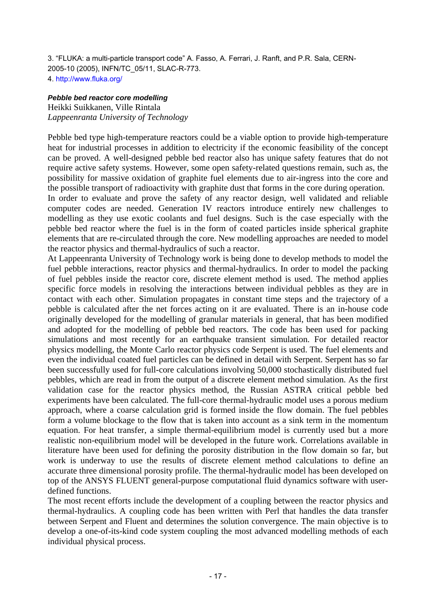3. "FLUKA: a multi-particle transport code" A. Fasso, A. Ferrari, J. Ranft, and P.R. Sala, CERN-2005-10 (2005), INFN/TC\_05/11, SLAC-R-773. 4. http://www.fluka.org/

#### *Pebble bed reactor core modelling*

Heikki Suikkanen, Ville Rintala *Lappeenranta University of Technology* 

Pebble bed type high-temperature reactors could be a viable option to provide high-temperature heat for industrial processes in addition to electricity if the economic feasibility of the concept can be proved. A well-designed pebble bed reactor also has unique safety features that do not require active safety systems. However, some open safety-related questions remain, such as, the possibility for massive oxidation of graphite fuel elements due to air-ingress into the core and the possible transport of radioactivity with graphite dust that forms in the core during operation.

In order to evaluate and prove the safety of any reactor design, well validated and reliable computer codes are needed. Generation IV reactors introduce entirely new challenges to modelling as they use exotic coolants and fuel designs. Such is the case especially with the pebble bed reactor where the fuel is in the form of coated particles inside spherical graphite elements that are re-circulated through the core. New modelling approaches are needed to model the reactor physics and thermal-hydraulics of such a reactor.

At Lappeenranta University of Technology work is being done to develop methods to model the fuel pebble interactions, reactor physics and thermal-hydraulics. In order to model the packing of fuel pebbles inside the reactor core, discrete element method is used. The method applies specific force models in resolving the interactions between individual pebbles as they are in contact with each other. Simulation propagates in constant time steps and the trajectory of a pebble is calculated after the net forces acting on it are evaluated. There is an in-house code originally developed for the modelling of granular materials in general, that has been modified and adopted for the modelling of pebble bed reactors. The code has been used for packing simulations and most recently for an earthquake transient simulation. For detailed reactor physics modelling, the Monte Carlo reactor physics code Serpent is used. The fuel elements and even the individual coated fuel particles can be defined in detail with Serpent. Serpent has so far been successfully used for full-core calculations involving 50,000 stochastically distributed fuel pebbles, which are read in from the output of a discrete element method simulation. As the first validation case for the reactor physics method, the Russian ASTRA critical pebble bed experiments have been calculated. The full-core thermal-hydraulic model uses a porous medium approach, where a coarse calculation grid is formed inside the flow domain. The fuel pebbles form a volume blockage to the flow that is taken into account as a sink term in the momentum equation. For heat transfer, a simple thermal-equilibrium model is currently used but a more realistic non-equilibrium model will be developed in the future work. Correlations available in literature have been used for defining the porosity distribution in the flow domain so far, but work is underway to use the results of discrete element method calculations to define an accurate three dimensional porosity profile. The thermal-hydraulic model has been developed on top of the ANSYS FLUENT general-purpose computational fluid dynamics software with userdefined functions.

The most recent efforts include the development of a coupling between the reactor physics and thermal-hydraulics. A coupling code has been written with Perl that handles the data transfer between Serpent and Fluent and determines the solution convergence. The main objective is to develop a one-of-its-kind code system coupling the most advanced modelling methods of each individual physical process.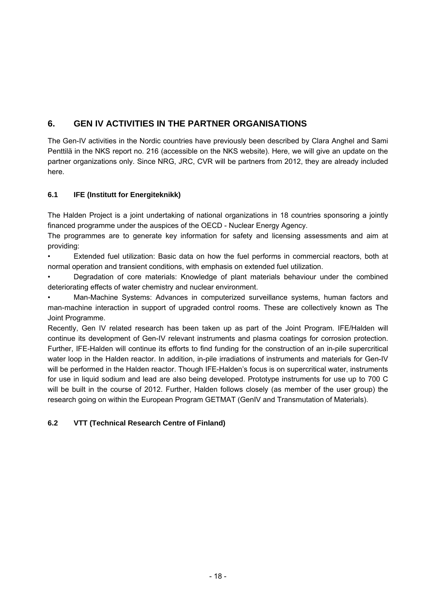# <span id="page-21-0"></span>**6. GEN IV ACTIVITIES IN THE PARTNER ORGANISATIONS**

The Gen-IV activities in the Nordic countries have previously been described by Clara Anghel and Sami Penttilä in the NKS report no. 216 (accessible on the NKS website). Here, we will give an update on the partner organizations only. Since NRG, JRC, CVR will be partners from 2012, they are already included here.

## **6.1 IFE (Institutt for Energiteknikk)**

The Halden Project is a joint undertaking of national organizations in 18 countries sponsoring a jointly financed programme under the auspices of the OECD - Nuclear Energy Agency.

The programmes are to generate key information for safety and licensing assessments and aim at providing:

• Extended fuel utilization: Basic data on how the fuel performs in commercial reactors, both at normal operation and transient conditions, with emphasis on extended fuel utilization.

• Degradation of core materials: Knowledge of plant materials behaviour under the combined deteriorating effects of water chemistry and nuclear environment.

• Man-Machine Systems: Advances in computerized surveillance systems, human factors and man-machine interaction in support of upgraded control rooms. These are collectively known as The Joint Programme.

Recently, Gen IV related research has been taken up as part of the Joint Program. IFE/Halden will continue its development of Gen-IV relevant instruments and plasma coatings for corrosion protection. Further, IFE-Halden will continue its efforts to find funding for the construction of an in-pile supercritical water loop in the Halden reactor. In addition, in-pile irradiations of instruments and materials for Gen-IV will be performed in the Halden reactor. Though IFE-Halden's focus is on supercritical water, instruments for use in liquid sodium and lead are also being developed. Prototype instruments for use up to 700 C will be built in the course of 2012. Further, Halden follows closely (as member of the user group) the research going on within the European Program GETMAT (GenIV and Transmutation of Materials).

## **6.2 VTT (Technical Research Centre of Finland)**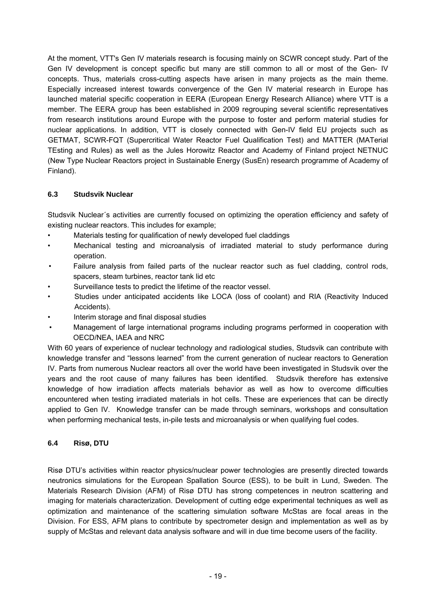<span id="page-22-0"></span>At the moment, VTT's Gen IV materials research is focusing mainly on SCWR concept study. Part of the Gen IV development is concept specific but many are still common to all or most of the Gen- IV concepts. Thus, materials cross-cutting aspects have arisen in many projects as the main theme. Especially increased interest towards convergence of the Gen IV material research in Europe has launched material specific cooperation in EERA (European Energy Research Alliance) where VTT is a member. The EERA group has been established in 2009 regrouping several scientific representatives from research institutions around Europe with the purpose to foster and perform material studies for nuclear applications. In addition, VTT is closely connected with Gen-IV field EU projects such as GETMAT, SCWR-FQT (Supercritical Water Reactor Fuel Qualification Test) and MATTER (MATerial TEsting and Rules) as well as the Jules Horowitz Reactor and Academy of Finland project NETNUC (New Type Nuclear Reactors project in Sustainable Energy (SusEn) research programme of Academy of Finland).

#### **6.3 Studsvik Nuclear**

Studsvik Nuclear´s activities are currently focused on optimizing the operation efficiency and safety of existing nuclear reactors. This includes for example;

- Materials testing for qualification of newly developed fuel claddings
- Mechanical testing and microanalysis of irradiated material to study performance during operation.
- Failure analysis from failed parts of the nuclear reactor such as fuel cladding, control rods, spacers, steam turbines, reactor tank lid etc
- Surveillance tests to predict the lifetime of the reactor vessel.
- Studies under anticipated accidents like LOCA (loss of coolant) and RIA (Reactivity Induced Accidents).
- Interim storage and final disposal studies
- Management of large international programs including programs performed in cooperation with OECD/NEA, IAEA and NRC

With 60 years of experience of nuclear technology and radiological studies, Studsvik can contribute with knowledge transfer and "lessons learned" from the current generation of nuclear reactors to Generation IV. Parts from numerous Nuclear reactors all over the world have been investigated in Studsvik over the years and the root cause of many failures has been identified. Studsvik therefore has extensive knowledge of how irradiation affects materials behavior as well as how to overcome difficulties encountered when testing irradiated materials in hot cells. These are experiences that can be directly applied to Gen IV. Knowledge transfer can be made through seminars, workshops and consultation when performing mechanical tests, in-pile tests and microanalysis or when qualifying fuel codes.

## **6.4 Risø, DTU**

Risø DTU's activities within reactor physics/nuclear power technologies are presently directed towards neutronics simulations for the European Spallation Source (ESS), to be built in Lund, Sweden. The Materials Research Division (AFM) of Risø DTU has strong competences in neutron scattering and imaging for materials characterization. Development of cutting edge experimental techniques as well as optimization and maintenance of the scattering simulation software McStas are focal areas in the Division. For ESS, AFM plans to contribute by spectrometer design and implementation as well as by supply of McStas and relevant data analysis software and will in due time become users of the facility.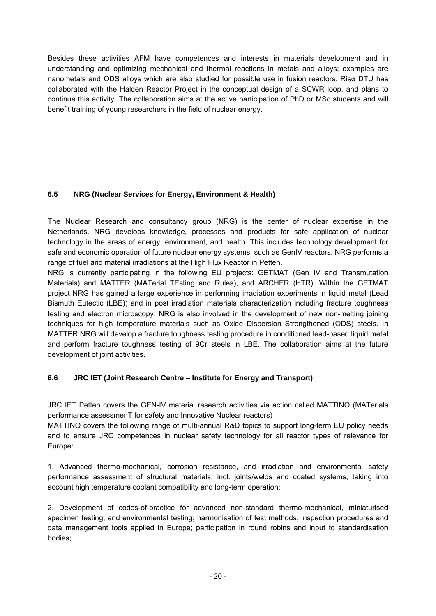<span id="page-23-0"></span>Besides these activities AFM have competences and interests in materials development and in understanding and optimizing mechanical and thermal reactions in metals and alloys; examples are nanometals and ODS alloys which are also studied for possible use in fusion reactors. Risø DTU has collaborated with the Halden Reactor Project in the conceptual design of a SCWR loop, and plans to continue this activity. The collaboration aims at the active participation of PhD or MSc students and will benefit training of young researchers in the field of nuclear energy.

## **6.5 NRG (Nuclear Services for Energy, Environment & Health)**

The Nuclear Research and consultancy group (NRG) is the center of nuclear expertise in the Netherlands. NRG develops knowledge, processes and products for safe application of nuclear technology in the areas of energy, environment, and health. This includes technology development for safe and economic operation of future nuclear energy systems, such as GenIV reactors. NRG performs a range of fuel and material irradiations at the High Flux Reactor in Petten.

NRG is currently participating in the following EU projects: GETMAT (Gen IV and Transmutation Materials) and MATTER (MATerial TEsting and Rules), and ARCHER (HTR). Within the GETMAT project NRG has gained a large experience in performing irradiation experiments in liquid metal (Lead Bismuth Eutectic (LBE)) and in post irradiation materials characterization including fracture toughness testing and electron microscopy. NRG is also involved in the development of new non-melting joining techniques for high temperature materials such as Oxide Dispersion Strengthened (ODS) steels. In MATTER NRG will develop a fracture toughness testing procedure in conditioned lead-based liquid metal and perform fracture toughness testing of 9Cr steels in LBE. The collaboration aims at the future development of joint activities.

## **6.6 JRC IET (Joint Research Centre – Institute for Energy and Transport)**

JRC IET Petten covers the GEN-IV material research activities via action called MATTINO (MATerials performance assessmenT for safety and Innovative Nuclear reactors)

MATTINO covers the following range of multi-annual R&D topics to support long-term EU policy needs and to ensure JRC competences in nuclear safety technology for all reactor types of relevance for Europe:

1. Advanced thermo-mechanical, corrosion resistance, and irradiation and environmental safety performance assessment of structural materials, incl. joints/welds and coated systems, taking into account high temperature coolant compatibility and long-term operation;

2. Development of codes-of-practice for advanced non-standard thermo-mechanical, miniaturised specimen testing, and environmental testing; harmonisation of test methods, inspection procedures and data management tools applied in Europe; participation in round robins and input to standardisation bodies;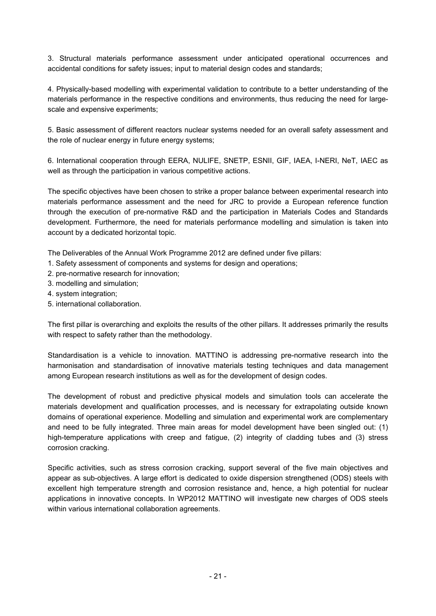3. Structural materials performance assessment under anticipated operational occurrences and accidental conditions for safety issues; input to material design codes and standards;

4. Physically-based modelling with experimental validation to contribute to a better understanding of the materials performance in the respective conditions and environments, thus reducing the need for largescale and expensive experiments;

5. Basic assessment of different reactors nuclear systems needed for an overall safety assessment and the role of nuclear energy in future energy systems;

6. International cooperation through EERA, NULIFE, SNETP, ESNII, GIF, IAEA, I-NERI, NeT, IAEC as well as through the participation in various competitive actions.

The specific objectives have been chosen to strike a proper balance between experimental research into materials performance assessment and the need for JRC to provide a European reference function through the execution of pre-normative R&D and the participation in Materials Codes and Standards development. Furthermore, the need for materials performance modelling and simulation is taken into account by a dedicated horizontal topic.

The Deliverables of the Annual Work Programme 2012 are defined under five pillars:

- 1. Safety assessment of components and systems for design and operations;
- 2. pre-normative research for innovation;
- 3. modelling and simulation;
- 4. system integration;
- 5. international collaboration.

The first pillar is overarching and exploits the results of the other pillars. It addresses primarily the results with respect to safety rather than the methodology.

Standardisation is a vehicle to innovation. MATTINO is addressing pre-normative research into the harmonisation and standardisation of innovative materials testing techniques and data management among European research institutions as well as for the development of design codes.

The development of robust and predictive physical models and simulation tools can accelerate the materials development and qualification processes, and is necessary for extrapolating outside known domains of operational experience. Modelling and simulation and experimental work are complementary and need to be fully integrated. Three main areas for model development have been singled out: (1) high-temperature applications with creep and fatigue, (2) integrity of cladding tubes and (3) stress corrosion cracking.

Specific activities, such as stress corrosion cracking, support several of the five main objectives and appear as sub-objectives. A large effort is dedicated to oxide dispersion strengthened (ODS) steels with excellent high temperature strength and corrosion resistance and, hence, a high potential for nuclear applications in innovative concepts. In WP2012 MATTINO will investigate new charges of ODS steels within various international collaboration agreements.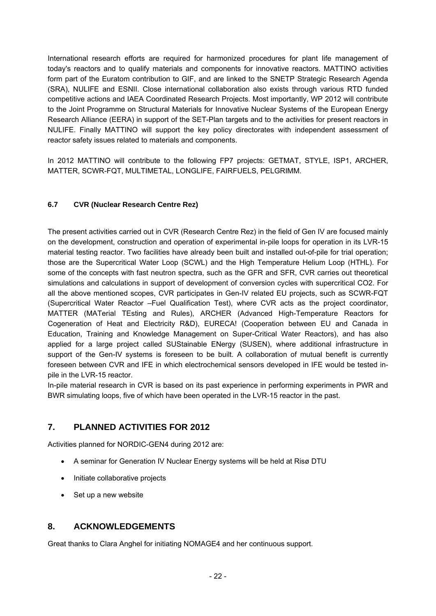<span id="page-25-0"></span>International research efforts are required for harmonized procedures for plant life management of today's reactors and to qualify materials and components for innovative reactors. MATTINO activities form part of the Euratom contribution to GIF, and are linked to the SNETP Strategic Research Agenda (SRA), NULIFE and ESNII. Close international collaboration also exists through various RTD funded competitive actions and IAEA Coordinated Research Projects. Most importantly, WP 2012 will contribute to the Joint Programme on Structural Materials for Innovative Nuclear Systems of the European Energy Research Alliance (EERA) in support of the SET-Plan targets and to the activities for present reactors in NULIFE. Finally MATTINO will support the key policy directorates with independent assessment of reactor safety issues related to materials and components.

In 2012 MATTINO will contribute to the following FP7 projects: GETMAT, STYLE, ISP1, ARCHER, MATTER, SCWR-FQT, MULTIMETAL, LONGLIFE, FAIRFUELS, PELGRIMM.

#### **6.7 CVR (Nuclear Research Centre Rez)**

The present activities carried out in CVR (Research Centre Rez) in the field of Gen IV are focused mainly on the development, construction and operation of experimental in-pile loops for operation in its LVR-15 material testing reactor. Two facilities have already been built and installed out-of-pile for trial operation; those are the Supercritical Water Loop (SCWL) and the High Temperature Helium Loop (HTHL). For some of the concepts with fast neutron spectra, such as the GFR and SFR, CVR carries out theoretical simulations and calculations in support of development of conversion cycles with supercritical CO2. For all the above mentioned scopes, CVR participates in Gen-IV related EU projects, such as SCWR-FQT (Supercritical Water Reactor –Fuel Qualification Test), where CVR acts as the project coordinator, MATTER (MATerial TEsting and Rules), ARCHER (Advanced High-Temperature Reactors for Cogeneration of Heat and Electricity R&D), EURECA! (Cooperation between EU and Canada in Education, Training and Knowledge Management on Super-Critical Water Reactors), and has also applied for a large project called SUStainable ENergy (SUSEN), where additional infrastructure in support of the Gen-IV systems is foreseen to be built. A collaboration of mutual benefit is currently foreseen between CVR and IFE in which electrochemical sensors developed in IFE would be tested inpile in the LVR-15 reactor.

In-pile material research in CVR is based on its past experience in performing experiments in PWR and BWR simulating loops, five of which have been operated in the LVR-15 reactor in the past.

# **7. PLANNED ACTIVITIES FOR 2012**

Activities planned for NORDIC-GEN4 during 2012 are:

- A seminar for Generation IV Nuclear Energy systems will be held at Risø DTU
- Initiate collaborative projects
- Set up a new website

# **8. ACKNOWLEDGEMENTS**

Great thanks to Clara Anghel for initiating NOMAGE4 and her continuous support.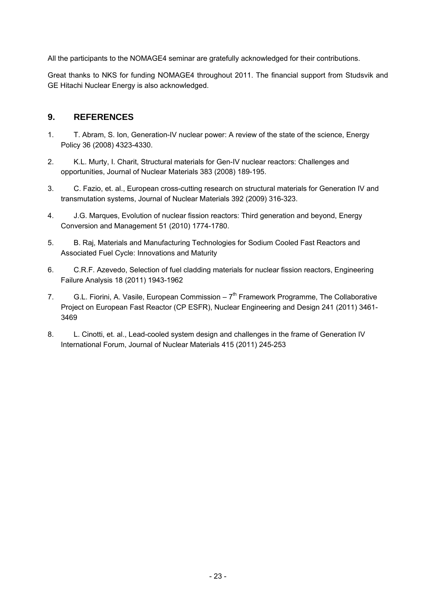<span id="page-26-0"></span>All the participants to the NOMAGE4 seminar are gratefully acknowledged for their contributions.

Great thanks to NKS for funding NOMAGE4 throughout 2011. The financial support from Studsvik and GE Hitachi Nuclear Energy is also acknowledged.

## **9. REFERENCES**

- 1. T. Abram, S. Ion, Generation-IV nuclear power: A review of the state of the science, Energy Policy 36 (2008) 4323-4330.
- 2. K.L. Murty, I. Charit, Structural materials for Gen-IV nuclear reactors: Challenges and opportunities, Journal of Nuclear Materials 383 (2008) 189-195.
- 3. C. Fazio, et. al., European cross-cutting research on structural materials for Generation IV and transmutation systems, Journal of Nuclear Materials 392 (2009) 316-323.
- 4. J.G. Marques, Evolution of nuclear fission reactors: Third generation and beyond, Energy Conversion and Management 51 (2010) 1774-1780.
- 5. B. Raj, Materials and Manufacturing Technologies for Sodium Cooled Fast Reactors and Associated Fuel Cycle: Innovations and Maturity
- 6. C.R.F. Azevedo, Selection of fuel cladding materials for nuclear fission reactors, Engineering Failure Analysis 18 (2011) 1943-1962
- 7. G.L. Fiorini, A. Vasile, European Commission  $7<sup>th</sup>$  Framework Programme, The Collaborative Project on European Fast Reactor (CP ESFR), Nuclear Engineering and Design 241 (2011) 3461- 3469
- 8. L. Cinotti, et. al., Lead-cooled system design and challenges in the frame of Generation IV International Forum, Journal of Nuclear Materials 415 (2011) 245-253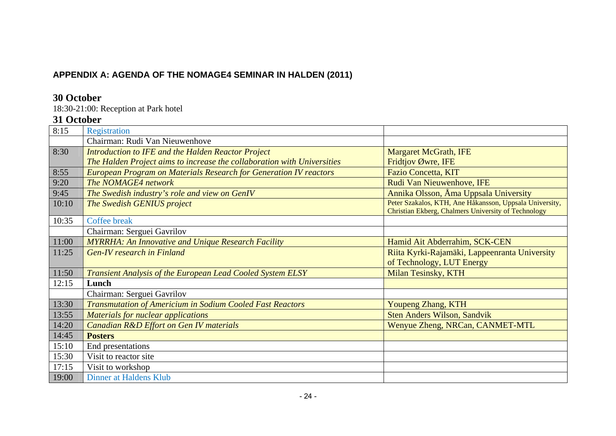# **APPENDIX A: AGENDA OF THE NOMAGE4 SEMINAR IN HALDEN (2011)**

# **30 October**

18:30-21:00: Reception at Park hotel

# **31 October**

<span id="page-27-0"></span>

| 8:15  | Registration                                                             |                                                         |
|-------|--------------------------------------------------------------------------|---------------------------------------------------------|
|       | Chairman: Rudi Van Nieuwenhove                                           |                                                         |
| 8:30  | <b>Introduction to IFE and the Halden Reactor Project</b>                | <b>Margaret McGrath, IFE</b>                            |
|       | The Halden Project aims to increase the collaboration with Universities  | Fridtjov Øwre, IFE                                      |
| 8:55  | <b>European Program on Materials Research for Generation IV reactors</b> | <b>Fazio Concetta, KIT</b>                              |
| 9:20  | The NOMAGE4 network                                                      | Rudi Van Nieuwenhove, IFE                               |
| 9:45  | The Swedish industry's role and view on GenIV                            | Annika Olsson, Ama Uppsala University                   |
| 10:10 | The Swedish GENIUS project                                               | Peter Szakalos, KTH, Ane Håkansson, Uppsala University, |
|       |                                                                          | Christian Ekberg, Chalmers University of Technology     |
| 10:35 | <b>Coffee break</b>                                                      |                                                         |
|       | Chairman: Serguei Gavrilov                                               |                                                         |
| 11:00 | <b>MYRRHA: An Innovative and Unique Research Facility</b>                | Hamid Ait Abderrahim, SCK-CEN                           |
| 11:25 | <b>Gen-IV research in Finland</b>                                        | Riita Kyrki-Rajamäki, Lappeenranta University           |
|       |                                                                          | of Technology, LUT Energy                               |
| 11:50 | <b>Transient Analysis of the European Lead Cooled System ELSY</b>        | Milan Tesinsky, KTH                                     |
| 12:15 | Lunch                                                                    |                                                         |
|       | Chairman: Serguei Gavrilov                                               |                                                         |
| 13:30 | <b>Transmutation of Americium in Sodium Cooled Fast Reactors</b>         | Youpeng Zhang, KTH                                      |
| 13:55 | <b>Materials for nuclear applications</b>                                | Sten Anders Wilson, Sandvik                             |
| 14:20 | Canadian R&D Effort on Gen IV materials                                  | Wenyue Zheng, NRCan, CANMET-MTL                         |
| 14:45 | <b>Posters</b>                                                           |                                                         |
| 15:10 | End presentations                                                        |                                                         |
| 15:30 | Visit to reactor site                                                    |                                                         |
| 17:15 | Visit to workshop                                                        |                                                         |
| 19:00 | <b>Dinner at Haldens Klub</b>                                            |                                                         |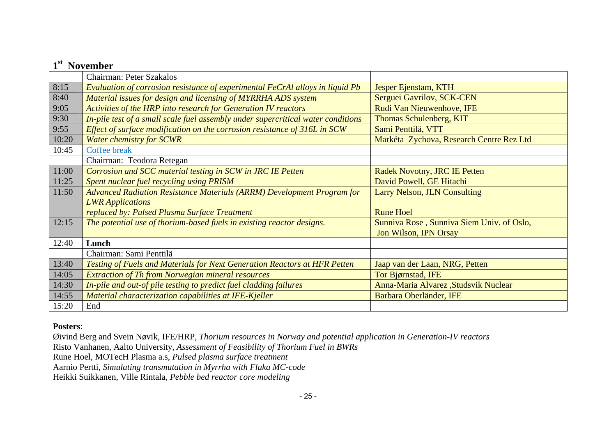|       | 1 <sup>st</sup> November                                                         |                                           |
|-------|----------------------------------------------------------------------------------|-------------------------------------------|
|       | Chairman: Peter Szakalos                                                         |                                           |
| 8:15  | Evaluation of corrosion resistance of experimental FeCrAl alloys in liquid Pb    | Jesper Ejenstam, KTH                      |
| 8:40  | Material issues for design and licensing of MYRRHA ADS system                    | Serguei Gavrilov, SCK-CEN                 |
| 9:05  | Activities of the HRP into research for Generation IV reactors                   | Rudi Van Nieuwenhove, IFE                 |
| 9:30  | In-pile test of a small scale fuel assembly under supercritical water conditions | Thomas Schulenberg, KIT                   |
| 9:55  | Effect of surface modification on the corrosion resistance of 316L in SCW        | Sami Penttilä, VTT                        |
| 10:20 | <b>Water chemistry for SCWR</b>                                                  | Markéta Zychova, Research Centre Rez Ltd  |
| 10:45 | Coffee break                                                                     |                                           |
|       | Chairman: Teodora Retegan                                                        |                                           |
| 11:00 | Corrosion and SCC material testing in SCW in JRC IE Petten                       | <b>Radek Novotny, JRC IE Petten</b>       |
| 11:25 | Spent nuclear fuel recycling using PRISM                                         | David Powell, GE Hitachi                  |
| 11:50 | <b>Advanced Radiation Resistance Materials (ARRM) Development Program for</b>    | <b>Larry Nelson, JLN Consulting</b>       |
|       | <b>LWR</b> Applications                                                          |                                           |
|       | replaced by: Pulsed Plasma Surface Treatment                                     | <b>Rune Hoel</b>                          |
| 12:15 | The potential use of thorium-based fuels in existing reactor designs.            | Sunniva Rose, Sunniva Siem Univ. of Oslo, |
|       |                                                                                  | Jon Wilson, IPN Orsay                     |
| 12:40 | Lunch                                                                            |                                           |
|       | Chairman: Sami Penttilä                                                          |                                           |
| 13:40 | Testing of Fuels and Materials for Next Generation Reactors at HFR Petten        | Jaap van der Laan, NRG, Petten            |
| 14:05 | <b>Extraction of Th from Norwegian mineral resources</b>                         | Tor Bjørnstad, IFE                        |
| 14:30 | In-pile and out-of pile testing to predict fuel cladding failures                | Anna-Maria Alvarez, Studsvik Nuclear      |
| 14:55 | Material characterization capabilities at IFE-Kjeller                            | Barbara Oberländer, IFE                   |
| 15:20 | End                                                                              |                                           |

#### **Posters**:

Øivind Berg and Svein Nøvik, IFE/HRP, *Thorium resources in Norway and potential application in Generation-IV reactors* 

Risto Vanhanen, Aalto University, *Assessment of Feasibility of Thorium Fuel in BWRs* 

Rune Hoel, MOTecH Plasma a.s, *Pulsed plasma surface treatment* 

Aarnio Pertti, *Simulating transmutation in Myrrha with Fluka MC-code* 

Heikki Suikkanen, Ville Rintala, *Pebble bed reactor core modeling*